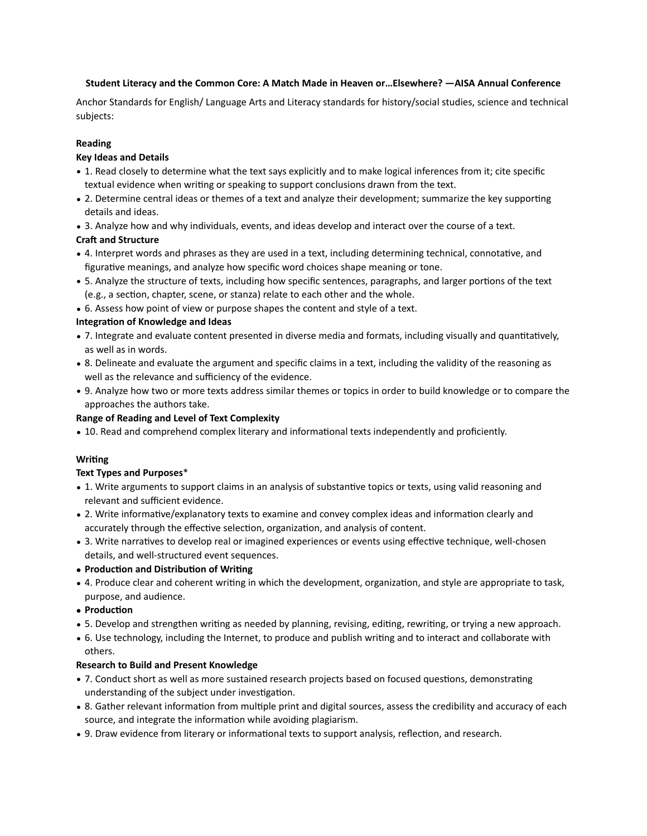### Student Literacy and the Common Core: A Match Made in Heaven or...Elsewhere? - AISA Annual Conference

Anchor Standards for English/ Language Arts and Literacy standards for history/social studies, science and technical subjects: 

## **Reading**

#### **Key Ideas and Details**

- 1. Read closely to determine what the text says explicitly and to make logical inferences from it; cite specific textual evidence when writing or speaking to support conclusions drawn from the text.
- 2. Determine central ideas or themes of a text and analyze their development; summarize the key supporting details and ideas.
- 3. Analyze how and why individuals, events, and ideas develop and interact over the course of a text.

## **Craft and Structure**

- 4. Interpret words and phrases as they are used in a text, including determining technical, connotative, and figurative meanings, and analyze how specific word choices shape meaning or tone.
- 5. Analyze the structure of texts, including how specific sentences, paragraphs, and larger portions of the text (e.g., a section, chapter, scene, or stanza) relate to each other and the whole.
- 6. Assess how point of view or purpose shapes the content and style of a text.

# **Integration of Knowledge and Ideas**

- 7. Integrate and evaluate content presented in diverse media and formats, including visually and quantitatively, as well as in words.
- 8. Delineate and evaluate the argument and specific claims in a text, including the validity of the reasoning as well as the relevance and sufficiency of the evidence.
- 9. Analyze how two or more texts address similar themes or topics in order to build knowledge or to compare the approaches the authors take.

## **Range of Reading and Level of Text Complexity**

• 10. Read and comprehend complex literary and informational texts independently and proficiently.

## **Writing**

## **Text Types and Purposes**\*

- 1. Write arguments to support claims in an analysis of substantive topics or texts, using valid reasoning and relevant and sufficient evidence.
- 2. Write informative/explanatory texts to examine and convey complex ideas and information clearly and accurately through the effective selection, organization, and analysis of content.
- 3. Write narratives to develop real or imagined experiences or events using effective technique, well-chosen details, and well-structured event sequences.

## • Production and Distribution of Writing

- 4. Produce clear and coherent writing in which the development, organization, and style are appropriate to task, purpose, and audience.
- **•** Production
- 5. Develop and strengthen writing as needed by planning, revising, editing, rewriting, or trying a new approach.
- 6. Use technology, including the Internet, to produce and publish writing and to interact and collaborate with others.

## **Research to Build and Present Knowledge**

- 7. Conduct short as well as more sustained research projects based on focused questions, demonstrating understanding of the subject under investigation.
- 8. Gather relevant information from multiple print and digital sources, assess the credibility and accuracy of each source, and integrate the information while avoiding plagiarism.
- 9. Draw evidence from literary or informational texts to support analysis, reflection, and research.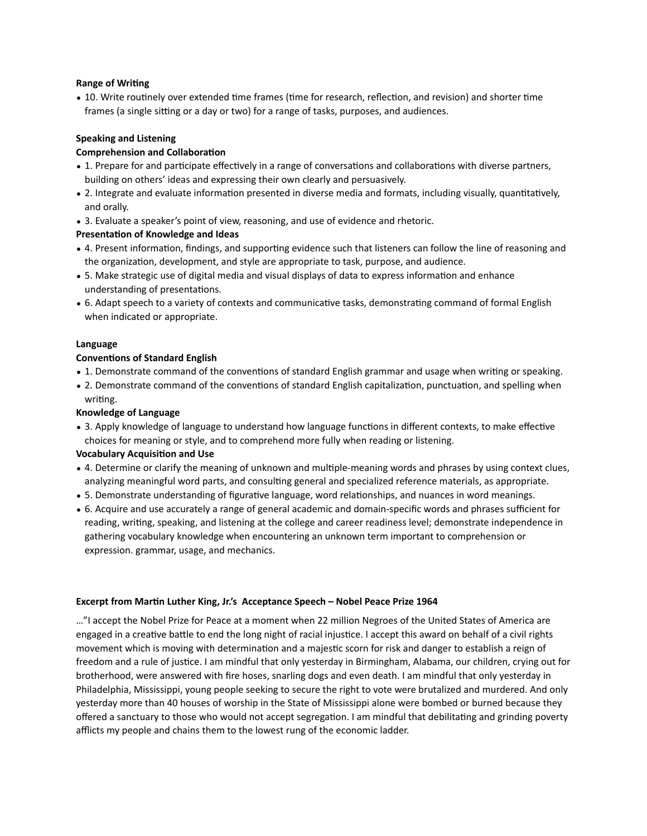#### **Range of Writing**

• 10. Write routinely over extended time frames (time for research, reflection, and revision) and shorter time frames (a single sitting or a day or two) for a range of tasks, purposes, and audiences.

## **Speaking and Listening**

## **Comprehension and Collaboration**

- 1. Prepare for and participate effectively in a range of conversations and collaborations with diverse partners, building on others' ideas and expressing their own clearly and persuasively.
- 2. Integrate and evaluate information presented in diverse media and formats, including visually, quantitatively, and orally.
- 3. Evaluate a speaker's point of view, reasoning, and use of evidence and rhetoric.

# **Presentation of Knowledge and Ideas**

- 4. Present information, findings, and supporting evidence such that listeners can follow the line of reasoning and the organization, development, and style are appropriate to task, purpose, and audience.
- 5. Make strategic use of digital media and visual displays of data to express information and enhance understanding of presentations.
- 6. Adapt speech to a variety of contexts and communicative tasks, demonstrating command of formal English when indicated or appropriate.

## **Language**

## **Conventions of Standard English**

- 1. Demonstrate command of the conventions of standard English grammar and usage when writing or speaking.
- 2. Demonstrate command of the conventions of standard English capitalization, punctuation, and spelling when writing.

#### **Knowledge of Language**

• 3. Apply knowledge of language to understand how language functions in different contexts, to make effective choices for meaning or style, and to comprehend more fully when reading or listening.

## **Vocabulary Acquisition and Use**

- 4. Determine or clarify the meaning of unknown and multiple-meaning words and phrases by using context clues, analyzing meaningful word parts, and consulting general and specialized reference materials, as appropriate.
- 5. Demonstrate understanding of figurative language, word relationships, and nuances in word meanings.
- 6. Acquire and use accurately a range of general academic and domain-specific words and phrases sufficient for reading, writing, speaking, and listening at the college and career readiness level; demonstrate independence in gathering vocabulary knowledge when encountering an unknown term important to comprehension or expression. grammar, usage, and mechanics.

#### **Excerpt from Martin Luther King, Jr.'s Acceptance Speech – Nobel Peace Prize 1964**

..."I accept the Nobel Prize for Peace at a moment when 22 million Negroes of the United States of America are engaged in a creative battle to end the long night of racial injustice. I accept this award on behalf of a civil rights movement which is moving with determination and a majestic scorn for risk and danger to establish a reign of freedom and a rule of justice. I am mindful that only yesterday in Birmingham, Alabama, our children, crying out for brotherhood, were answered with fire hoses, snarling dogs and even death. I am mindful that only yesterday in Philadelphia, Mississippi, young people seeking to secure the right to vote were brutalized and murdered. And only yesterday more than 40 houses of worship in the State of Mississippi alone were bombed or burned because they offered a sanctuary to those who would not accept segregation. I am mindful that debilitating and grinding poverty afflicts my people and chains them to the lowest rung of the economic ladder.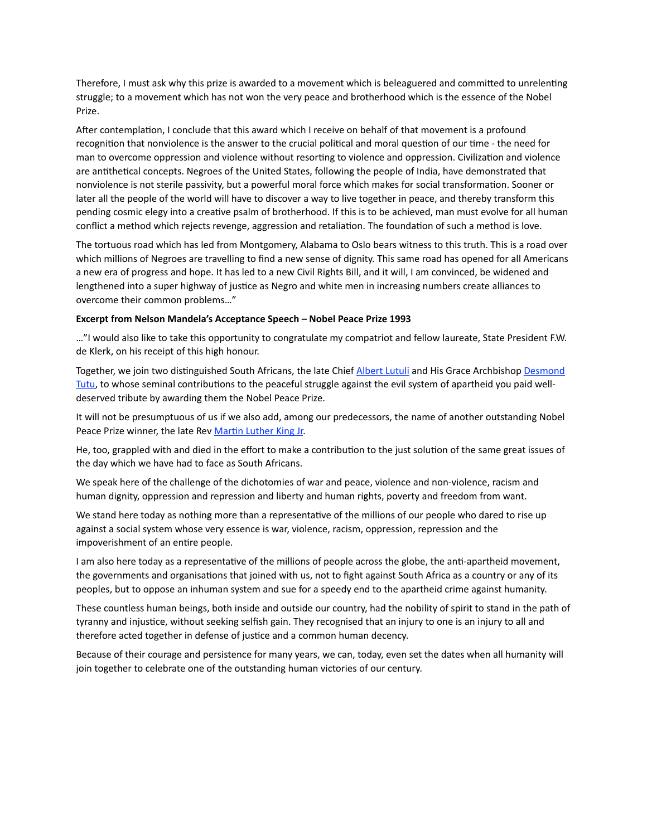Therefore, I must ask why this prize is awarded to a movement which is beleaguered and committed to unrelenting struggle; to a movement which has not won the very peace and brotherhood which is the essence of the Nobel Prize. 

After contemplation, I conclude that this award which I receive on behalf of that movement is a profound recognition that nonviolence is the answer to the crucial political and moral question of our time - the need for man to overcome oppression and violence without resorting to violence and oppression. Civilization and violence are antithetical concepts. Negroes of the United States, following the people of India, have demonstrated that nonviolence is not sterile passivity, but a powerful moral force which makes for social transformation. Sooner or later all the people of the world will have to discover a way to live together in peace, and thereby transform this pending cosmic elegy into a creative psalm of brotherhood. If this is to be achieved, man must evolve for all human conflict a method which rejects revenge, aggression and retaliation. The foundation of such a method is love.

The tortuous road which has led from Montgomery, Alabama to Oslo bears witness to this truth. This is a road over which millions of Negroes are travelling to find a new sense of dignity. This same road has opened for all Americans a new era of progress and hope. It has led to a new Civil Rights Bill, and it will, I am convinced, be widened and lengthened into a super highway of justice as Negro and white men in increasing numbers create alliances to overcome their common problems..."

#### **Excerpt from Nelson Mandela's Acceptance Speech - Nobel Peace Prize 1993**

..."I would also like to take this opportunity to congratulate my compatriot and fellow laureate, State President F.W. de Klerk, on his receipt of this high honour.

Together, we join two distinguished South Africans, the late Chief Albert Lutuli and His Grace Archbishop Desmond Tutu, to whose seminal contributions to the peaceful struggle against the evil system of apartheid you paid welldeserved tribute by awarding them the Nobel Peace Prize.

It will not be presumptuous of us if we also add, among our predecessors, the name of another outstanding Nobel Peace Prize winner, the late Rev Martin Luther King Jr.

He, too, grappled with and died in the effort to make a contribution to the just solution of the same great issues of the day which we have had to face as South Africans.

We speak here of the challenge of the dichotomies of war and peace, violence and non-violence, racism and human dignity, oppression and repression and liberty and human rights, poverty and freedom from want.

We stand here today as nothing more than a representative of the millions of our people who dared to rise up against a social system whose very essence is war, violence, racism, oppression, repression and the impoverishment of an entire people.

I am also here today as a representative of the millions of people across the globe, the anti-apartheid movement, the governments and organisations that joined with us, not to fight against South Africa as a country or any of its peoples, but to oppose an inhuman system and sue for a speedy end to the apartheid crime against humanity.

These countless human beings, both inside and outside our country, had the nobility of spirit to stand in the path of tyranny and injustice, without seeking selfish gain. They recognised that an injury to one is an injury to all and therefore acted together in defense of justice and a common human decency.

Because of their courage and persistence for many years, we can, today, even set the dates when all humanity will join together to celebrate one of the outstanding human victories of our century.